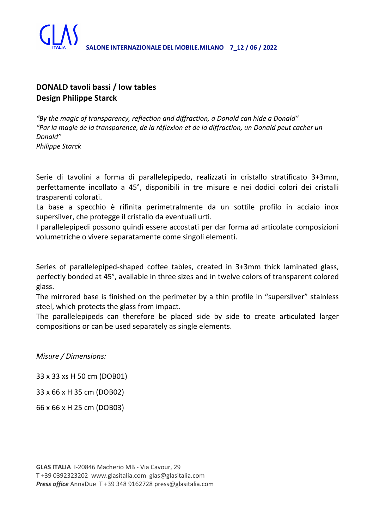

## **DONALD tavoli bassi / low tables Design Philippe Starck**

*"By the magic of transparency, reflection and diffraction, a Donald can hide a Donald" "Par la magie de la transparence, de la réflexion et de la diffraction, un Donald peut cacher un Donald" Philippe Starck*

Serie di tavolini a forma di parallelepipedo, realizzati in cristallo stratificato 3+3mm, perfettamente incollato a 45°, disponibili in tre misure e nei dodici colori dei cristalli trasparenti colorati.

La base a specchio è rifinita perimetralmente da un sottile profilo in acciaio inox supersilver, che protegge il cristallo da eventuali urti.

I parallelepipedi possono quindi essere accostati per dar forma ad articolate composizioni volumetriche o vivere separatamente come singoli elementi.

Series of parallelepiped-shaped coffee tables, created in 3+3mm thick laminated glass, perfectly bonded at 45°, available in three sizes and in twelve colors of transparent colored glass.

The mirrored base is finished on the perimeter by a thin profile in "supersilver" stainless steel, which protects the glass from impact.

The parallelepipeds can therefore be placed side by side to create articulated larger compositions or can be used separately as single elements.

*Misure / Dimensions:*

33 x 33 xs H 50 cm (DOB01)

33 x 66 x H 35 cm (DOB02)

66 x 66 x H 25 cm (DOB03)